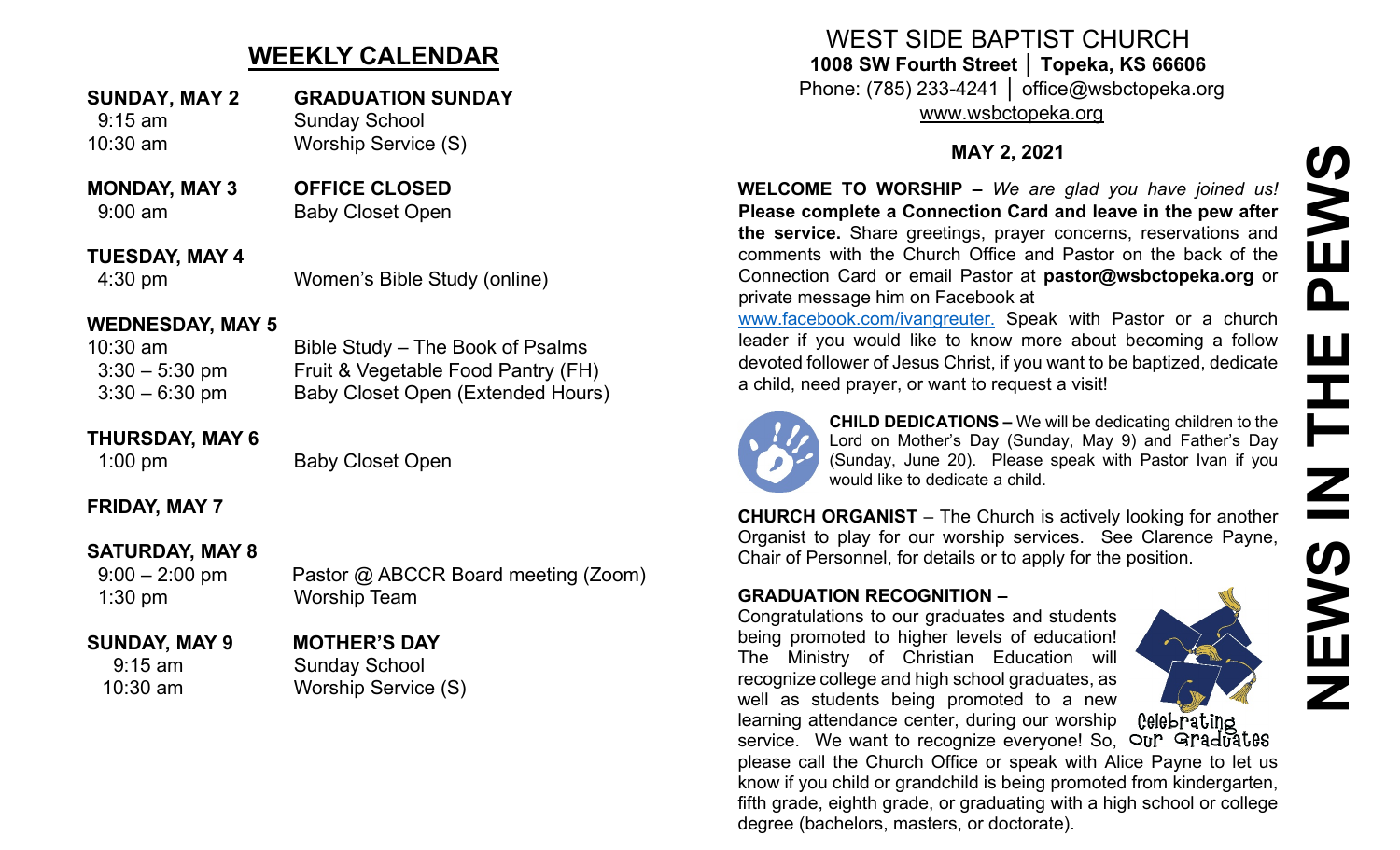# **WEEKLY CALENDAR**

- **SUNDAY, MAY 2 GRADUATION SUNDAY** 9:15 am Sunday School 10:30 am Worship Service (S)
- **MONDAY, MAY 3 OFFICE CLOSED** 9:00 am Baby Closet Open

**TUESDAY, MAY 4** 4:30 pm Women's Bible Study (online)

#### **WEDNESDAY, MAY 5**

| 10:30 am         | Bible Study – The Book of Psalms   |
|------------------|------------------------------------|
| $3:30 - 5:30$ pm | Fruit & Vegetable Food Pantry (FH) |
| $3:30 - 6:30$ pm | Baby Closet Open (Extended Hours)  |

### **THURSDAY, MAY 6**

1:00 pm Baby Closet Open

## **FRIDAY, MAY 7**

## **SATURDAY, MAY 8**

9:00 – 2:00 pm Pastor @ ABCCR Board meeting (Zoom) 1:30 pm Worship Team

## **SUNDAY, MAY 9 MOTHER'S DAY**

9:15 am Sunday School 10:30 am Worship Service (S)

## WEST SIDE BAPTIST CHURCH **1008 SW Fourth Street │ Topeka, KS 66606** Phone: (785) 233-4241 │ office@wsbctopeka.org

[www.wsbctopeka.org](http://www.wsbctopeka.org/)

## **MAY 2, 2021**

**WELCOME TO WORSHIP –** *We are glad you have joined us!* **Please complete a Connection Card and leave in the pew after the service.** Share greetings, prayer concerns, reservations and comments with the Church Office and Pastor on the back of the Connection Card or email Pastor at **pastor@wsbctopeka.org** or private message him on Facebook at

[www.facebook.com/ivangreuter.](http://www.facebook.com/ivangreuter.) Speak with Pastor or a church leader if you would like to know more about becoming a follow devoted follower of Jesus Christ, if you want to be baptized, dedicate a child, need prayer, or want to request a visit!



**CHILD DEDICATIONS –** We will be dedicating children to the Lord on Mother's Day (Sunday, May 9) and Father's Day (Sunday, June 20). Please speak with Pastor Ivan if you would like to dedicate a child.

**CHURCH ORGANIST** – The Church is actively looking for another Organist to play for our worship services. See Clarence Payne, Chair of Personnel, for details or to apply for the position.

### **GRADUATION RECOGNITION –**

Congratulations to our graduates and students being promoted to higher levels of education! The Ministry of Christian Education will recognize college and high school graduates, as well as students being promoted to a new learning attendance center, during our worship

Celebrating service. We want to recognize everyone! So, Our Graduates please call the Church Office or speak with Alice Payne to let us know if you child or grandchild is being promoted from kindergarten, fifth grade, eighth grade, or graduating with a high school or college degree (bachelors, masters, or doctorate).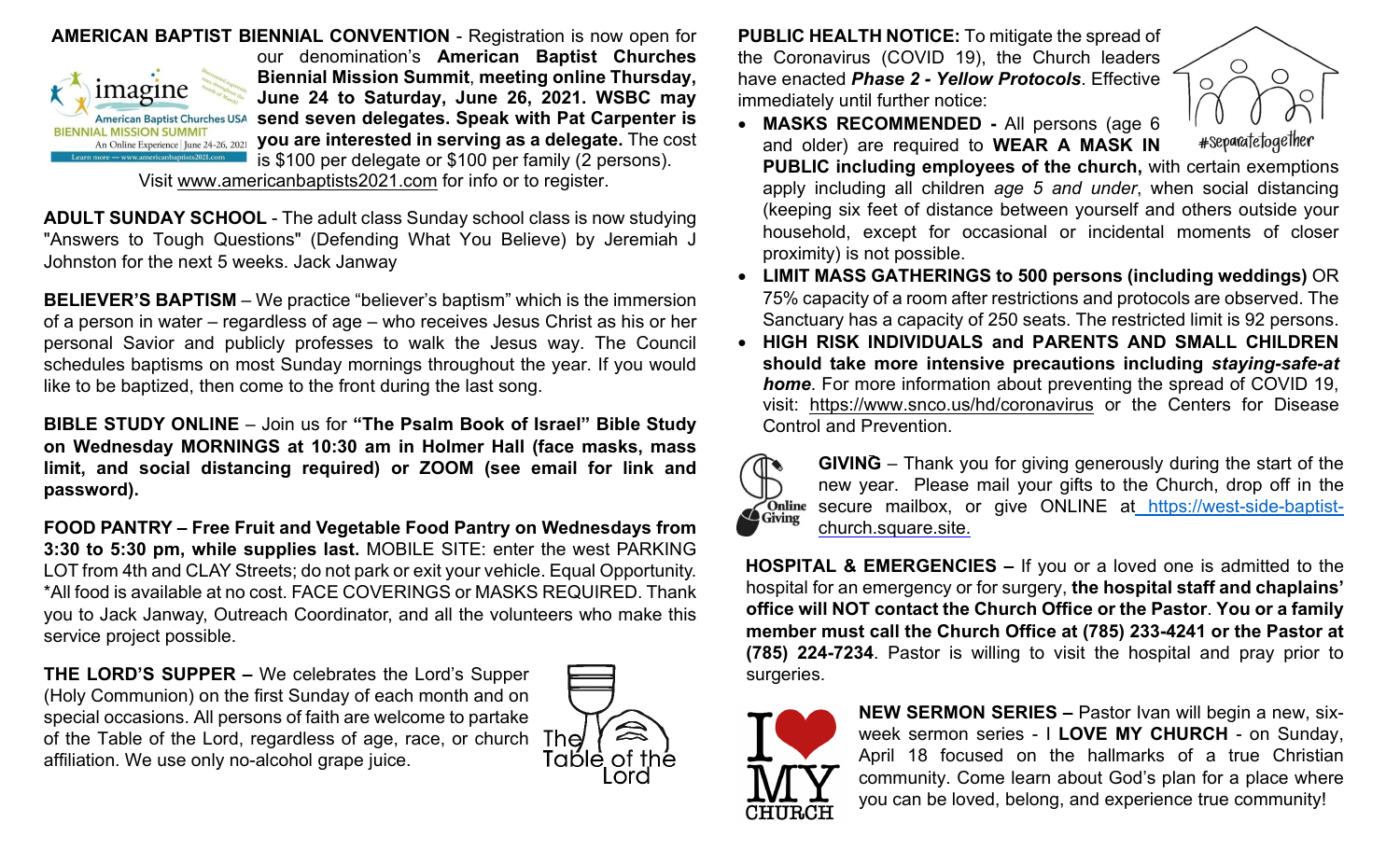

**AMERICAN BAPTIST BIENNIAL CONVENTION** - Registration is now open for our denomination's **American Baptist Churches Biennial Mission Summit**, **meeting online Thursday, June 24 to Saturday, June 26, 2021. WSBC may send seven delegates. Speak with Pat Carpenter is you are interested in serving as a delegate.** The cost is \$100 per delegate or \$100 per family (2 persons).

Visit [www.americanbaptists2021.com](http://www.americanbaptists2021.com/) for info or to register.

**ADULT SUNDAY SCHOOL** - The adult class Sunday school class is now studying "Answers to Tough Questions" (Defending What You Believe) by Jeremiah J Johnston for the next 5 weeks. Jack Janway

**BELIEVER'S BAPTISM** – We practice "believer's baptism" which is the immersion of a person in water – regardless of age – who receives Jesus Christ as his or her personal Savior and publicly professes to walk the Jesus way. The Council schedules baptisms on most Sunday mornings throughout the year. If you would like to be baptized, then come to the front during the last song.

**BIBLE STUDY ONLINE** – Join us for **"The Psalm Book of Israel" Bible Study on Wednesday MORNINGS at 10:30 am in Holmer Hall (face masks, mass limit, and social distancing required) or ZOOM (see email for link and password).** 

**FOOD PANTRY – Free Fruit and Vegetable Food Pantry on Wednesdays from 3:30 to 5:30 pm, while supplies last.** MOBILE SITE: enter the west PARKING LOT from 4th and CLAY Streets; do not park or exit your vehicle. Equal Opportunity. \*All food is available at no cost. FACE COVERINGS or MASKS REQUIRED. Thank you to Jack Janway, Outreach Coordinator, and all the volunteers who make this service project possible.

**THE LORD'S SUPPER –** We celebrates the Lord's Supper (Holy Communion) on the first Sunday of each month and on special occasions. All persons of faith are welcome to partake of the Table of the Lord, regardless of age, race, or church The affiliation. We use only no-alcohol grape juice.



**PUBLIC HEALTH NOTICE:** To mitigate the spread of the Coronavirus (COVID 19), the Church leaders have enacted *Phase 2 - Yellow Protocols*. Effective immediately until further notice:

proximity) is not possible.



- **MASKS RECOMMENDED -** All persons (age 6 and older) are required to **WEAR A MASK IN PUBLIC including employees of the church,** with certain exemptions apply including all children *age 5 and under*, when social distancing (keeping six feet of distance between yourself and others outside your household, except for occasional or incidental moments of closer
- **LIMIT MASS GATHERINGS to 500 persons (including weddings)** OR 75% capacity of a room after restrictions and protocols are observed. The Sanctuary has a capacity of 250 seats. The restricted limit is 92 persons.
- **HIGH RISK INDIVIDUALS and PARENTS AND SMALL CHILDREN should take more intensive precautions including** *staying-safe-at home*. For more information about preventing the spread of COVID 19, visit: <https://www.snco.us/hd/coronavirus> or the Centers for Disease Control and Prevention.



**GIVING** – Thank you for giving generously during the start of the new year. Please mail your gifts to the Church, drop off in the secure mailbox, or give ONLINE at https://west[-side-baptist](https://west-side-baptist-/)[church.square.site.](https://west-side-baptist-church.square.site/)

**HOSPITAL & EMERGENCIES –** If you or a loved one is admitted to the hospital for an emergency or for surgery, **the hospital staff and chaplains' office will NOT contact the Church Office or the Pastor**. **You or a family member must call the Church Office at (785) 233-4241 or the Pastor at (785) 224-7234**. Pastor is willing to visit the hospital and pray prior to surgeries.



**NEW SERMON SERIES –** Pastor Ivan will begin a new, sixweek sermon series - I **LOVE MY CHURCH** - on Sunday, April 18 focused on the hallmarks of a true Christian community. Come learn about God's plan for a place where you can be loved, belong, and experience true community!